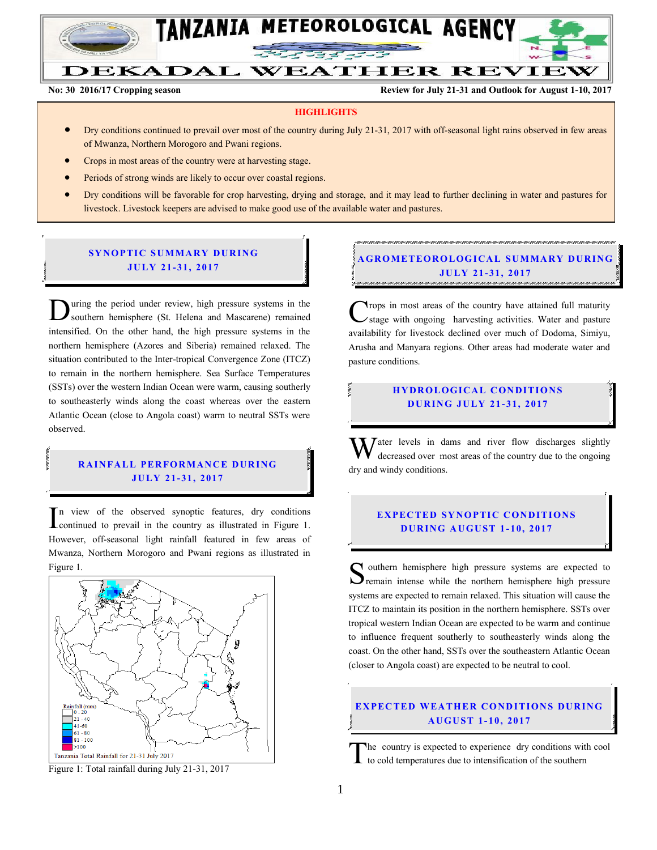

# DEKADAL WEATHER REVIEW

**No: 30 2016/17 Cropping season Review for July 21-31 and Outlook for August 1-10, 2017**

#### **HIGHLIGHTS**

- Dry conditions continued to prevail over most of the country during July 21-31, 2017 with off-seasonal light rains observed in few areas of Mwanza, Northern Morogoro and Pwani regions.
- Crops in most areas of the country were at harvesting stage.
- Periods of strong winds are likely to occur over coastal regions.
- Dry conditions will be favorable for crop harvesting, drying and storage, and it may lead to further declining in water and pastures for livestock. Livestock keepers are advised to make good use of the available water and pastures.

### **SYNOPTIC SUMMARY DURING JULY 21- 31, 2017**

uring the period under review, high pressure systems in the southern hemisphere (St. Helena and Mascarene) remained **D** uring the period under review, high pressure systems in the southern hemisphere (St. Helena and Mascarene) remained intensified. On the other hand, the high pressure systems in the northern hemisphere (Azores and Siberia) remained relaxed. The situation contributed to the Inter-tropical Convergence Zone (ITCZ) to remain in the northern hemisphere. Sea Surface Temperatures (SSTs) over the western Indian Ocean were warm, causing southerly to southeasterly winds along the coast whereas over the eastern Atlantic Ocean (close to Angola coast) warm to neutral SSTs were observed.

#### **RAINFALL PERFORMANCE DURING JULY 21- 31, 2017**

n view of the observed synoptic features, dry conditions  $\prod_{\text{continued}}$  to the observed synoptic features, dry conditions<br>
continued to prevail in the country as illustrated in Figure 1. However, off-seasonal light rainfall featured in few areas of Mwanza, Northern Morogoro and Pwani regions as illustrated in Figure 1.



Figure 1: Total rainfall during July 21-31, 2017

## **GROMETEOROLOGICAL SUMMARY DURING JULY 21- 31 , 2017**

rops in most areas of the country have attained full maturity /stage with ongoing harvesting activities. Water and pasture availability for livestock declined over much of Dodoma, Simiyu, Arusha and Manyara regions. Other areas had moderate water and pasture conditions. C

### **HYDROLOGICAL CONDITIONS D UR ING JU LY 21 - 31, 2017**

 $\mathbf{W}$  ater levels in dams and river flow discharges slightly decreased over most areas of the country due to the ongoing decreased over most areas of the country due to the ongoing dry and windy conditions.

#### **EXPECTED SYNOPTIC CONDITIONS D UR ING A U GU ST 1 - 10, 2017**

outhern hemisphere high pressure systems are expected to Southern hemisphere high pressure systems are expected to remain intense while the northern hemisphere high pressure systems are expected to remain relaxed. This situation will cause the ITCZ to maintain its position in the northern hemisphere. SSTs over tropical western Indian Ocean are expected to be warm and continue to influence frequent southerly to southeasterly winds along the coast. On the other hand, SSTs over the southeastern Atlantic Ocean (closer to Angola coast) are expected to be neutral to cool.

#### **EXPECTED WEATHER CONDITIONS DURING A U GU ST 1- 10 , 2017**

he country is expected to experience dry conditions with cool to cold temperatures due to intensification of the southern T